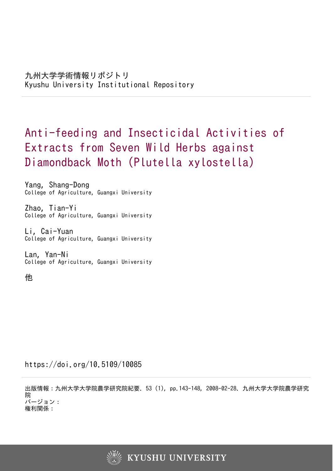# Anti-feeding and Insecticidal Activities of Extracts from Seven Wild Herbs against Diamondback Moth (Plutella xylostella)

Yang, Shang-Dong College of Agriculture, Guangxi University

Zhao, Tian-Yi College of Agriculture, Guangxi University

Li, Cai-Yuan College of Agriculture, Guangxi University

Lan, Yan-Ni College of Agriculture, Guangxi University

他

https://doi.org/10.5109/10085

出版情報:九州大学大学院農学研究院紀要. 53 (1), pp.143-148, 2008-02-28. 九州大学大学院農学研究 院 バージョン: 権利関係:

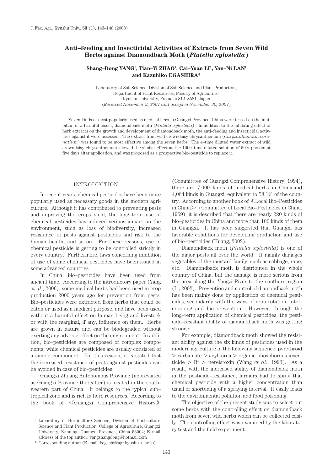# **Anti–feeding and Insecticidal Activities of Extracts from Seven Wild Herbs against Diamondback Moth (***Plutella xylostella***)**

# **Shang–Dong YANG1 , Tian–Yi ZHAO1 , Cai–Yuan LI1 , Yan–Ni LAN1 and Kazuhiko EGASHIRA\***

Laboratory of Soil Science, Division of Soil Science and Plant Production, Department of Plant Resources, Faculty of Agriculture, Kyushu University, Fukuoka 812–8581, Japan (*Received November 9, 2007 and accepted November 30, 2007*)

Seven kinds of most popularly used as medical herb in Guangxi Province, China were tested on the inhibition of a harmful insect, diamondback moth (*Plutella xylostella*). In addition to the inhibiting effect of herb extracts on the growth and development of diamondback moth, the anti–feeding and insecticidal activities against it were assessed. The extract from wild crowndaisy chrysanthemum (*Chrysanthemum coronatium*) was found to be most effective among the seven herbs. The 4–time diluted water extract of wild crowndaisy chrysanthemum showed the similar effect as the 1000–time diluted solution of 50% phoxim at five days after application, and was proposed as a prospective bio–pesticide to replace it.

## INTRODUCTION

In recent years, chemical pesticides have been more popularly used as necessary goods in the modern agriculture. Although it has contributed to preventing pests and improving the crops yield, the long–term use of chemical pesticides has induced serious impact on the environment, such as loss of biodiversity, increased resistance of pests against pesticides and risk to the human health, and so on. For these reasons, use of chemical pesticide is getting to be controlled strictly in every country. Furthermore, laws concerning inhibition of use of some chemical pesticides have been issued in some advanced countries

In China, bio–pesticides have been used from ancient time. According to the introductory paper (Yang *et al*., 2006), some medical herbs had been used in crop production 2000 years ago for prevention from pests. Bio–pesticides were extracted from herbs that could be eaten or used as a medical purpose, and have been used without a harmful effect on human being and livestock or with the marginal, if any, influence on them. Herbs are grown in nature and can be biodegraded without exerting any adverse effect on the environment. In addition, bio–pesticides are composed of complex components, while chemical pesticides are usually consisted of a simple component. For this reason, it is stated that the increased resistance of pests against pesticides can be avoided in case of bio–pesticides.

Guangxi Zhuang Autonomous Province (abbreviated as Guangxi Province thereafter) is located in the southwestern part of China. It belongs to the typical sub– tropical zone and is rich in herb resources. According to the book of ≪Guangxi Comprehensive History≫

(Committtee of Guangxi Comprehensive History, 1994), there are 7,000 kinds of medical herbs in China and 4,064 kinds in Guangxi, equivalent to 58.1% of the country. According to another book of ≪Local Bio–Pesticides in China≫ (Committee of Local Bio–Pesticides in China, 1959), it is described that there are nearly 220 kinds of bio–pesticides in China and more than 100 kinds of them in Guangxi. It has been suggested that Guangxi has favorable conditions for developing production and use of bio–pesticides (Huang, 2002).

Diamondback moth (*Plutella xylostella*) is one of the major pests all over the world. It mainly damages vegetables of the mustard family, such as cabbage, rape, etc. Diamondback moth is distributed in the whole country of China, but the damage is more serious from the area along the Yangzi River to the southern region (Li, 2002). Prevention and control of diamondback moth has been mainly done by application of chemical pesticides, secondarily with the ways of crop rotation, intercropping and bio–prevention. However, through the long–term application of chemical pesticides, the pesticide–resistant ability of diamondback moth was getting stronger.

For example, diamondback moth showed the resistant ability against the six kinds of pesticides used in the modern agriculture in the following sequence: pyrethroid > carbamate > acyl–urea > organic phosphorous insecticide > Bt > nereistoxin (Wang *et al*., 1993). As a result, with the increased ability of diamondback moth in the pesticide–resistance, farmers had to spray that chemical pesticide with a higher concentration than usual or shortening of a spraying interval. It easily leads to the environmental pollution and food poisoning.

The objective of the present study was to select out some herbs with the controlling effect on diamondback moth from seven wild herbs which can be collected easily. The controlling effect was examined by the laboratory test and the field experiment.

<sup>1</sup> Laboratory of Horticulture Science, Division of Horticulture Science and Plant Production, College of Agriculture, Guangxi University, Nanning, Guangxi Province, China 53004; E–mail address of the top author: yangshangdong@hotmail.com

<sup>\*</sup> Corresponding author (E–mail: kegashi@agr.kyushu–u.ac.jp)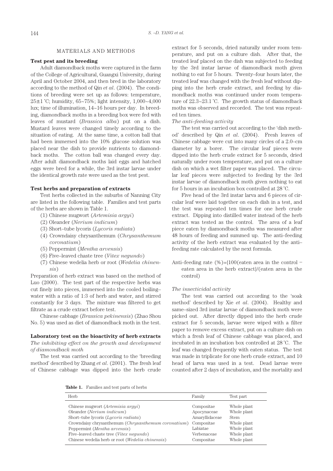#### MATERIALS AND METHODS

## **Test pest and its breeding**

Adult diamondback moths were captured in the farm of the College of Agricultural, Guangxi University, during April and October 2004, and then bred in the laboratory according to the method of Qin *et al*. (2004). The conditions of breeding were set up as follows: temperature,  $25\pm1$  °C; humidity, 65~75%; light intensity,  $1,000-4,000$ lux; time of illumination, 14~16 hours per day. In breeding, diamondback moths in a breeding box were fed with leaves of mustard (*Brassica alba*) put on a dish. Mustard leaves were changed timely according to the situation of eating. At the same time, a cotton ball that had been immersed into the 10% glucose solution was placed near the dish to provide nutrients to diamondback moths. The cotton ball was changed every day. After adult diamondback moths laid eggs and hatched eggs were bred for a while, the 3rd instar larvae under the identical growth rate were used as the test pest.

## **Test herbs and preparation of extracts**

Test herbs collected in the suburbs of Nanning City are listed in the following table. Families and test parts of the herbs are shown in Table 1.

- (1) Chinese mugwort (*Artemisia argyi*)
- (2) Oleander (*Nerium indicum*)
- (3) Short–tube lycoris (*Lycoris radiata*)
- (4) Crowndaisy chrysanthemum (*Chrysanthemum coronatium*)
- (5) Peppermint (*Mentha arvensis*)
- (6) Five–leaved chaste tree (*Vitex negundo*)
- (7) Chinese wedelia herb or root (*Wedelia chinensis*)

Preparation of herb extract was based on the method of Luo (2000). The test part of the respective herbs was cut finely into pieces, immersed into the cooled boiling– water with a ratio of 1:3 of herb and water, and stirred constantly for 3 days. The mixture was filtered to get filtrate as a crude extract before test.

Chinese cabbage (*Brassica pekinensis*) (Zhao Shou No. 5) was used as diet of diamondback moth in the test.

## **Laboratory test on the bioactivity of herb extracts**

*The inhibiting effect on the growth and development of diamondback moth* 

The test was carried out according to the 'breeding method' described by Zhang *et al*. (2001). The fresh leaf of Chinese cabbage was dipped into the herb crude

extract for 5 seconds, dried naturally under room temperature, and put on a culture dish. After that, the treated leaf placed on the dish was subjected to feeding by the 3rd instar larvae of diamondback moth given nothing to eat for 5 hours. Twenty–four hours later, the treated leaf was changed with the fresh leaf without dipping into the herb crude extract, and feeding by diamondback moths was continued under room temperature of 22.3~23.1 ˚C. The growth status of diamondback moths was observed and recorded. The test was repeated ten times.

## *The anti–feeding activity*

The test was carried out according to the 'dish method' described by Qin *et al*. (2004). Fresh leaves of Chinese cabbage were cut into many circles of a 2.0–cm diameter by a borer. The circular leaf pieces were dipped into the herb crude extract for 5 seconds, dried naturally under room temperature, and put on a culture dish on which a wet filter paper was placed. The circular leaf pieces were subjected to feeding by the 3rd instar larvae of diamondback moth given nothing to eat for 5 hours in an incubation box controlled at 28 ˚C.

Five head of the 3rd instar larva and 6 pieces of circular leaf were laid together on each dish in a test, and the test was repeated ten times for one herb crude extract. Dipping into distilled water instead of the herb extract was tested as the control. The area of a leaf piece eaten by diamondback moths was measured after 48 hours of feeding and summed up. The anti–feeding activity of the herb extract was evaluated by the anti– feeding rate calculated by the next formula.

Anti–feeding rate  $(\%) = \{100$  (eaten area in the control – eaten area in the herb extract}/(eaten area in the control)

## *The insecticidal activit*y

The test was carried out according to the 'soak method' described by Xie *et al*. (2004). Healthy and same–sized 3rd instar larvae of diamondback moth were picked out. After directly dipped into the herb crude extract for 5 seconds, larvae were wiped with a filter paper to remove excess extract, put on a culture dish on which a fresh leaf of Chinese cabbage was placed, and incubated in an incubation box controlled at 28 ˚C. The leaf was changed frequently with eaten status. The test was made in triplicate for one herb crude extract, and 10 head of larva was used in a test. Dead larvae were counted after 2 days of incubation, and the mortality and

**Table 1.** Families and test parts of herbs

| Family         | Test part   |
|----------------|-------------|
| Compositae     | Whole plant |
| Apocynaceae    | Whole plant |
| Amaryllidaceae | <b>Stem</b> |
| Compositae     | Whole plant |
| Labiatae       | Whole plant |
| Verbenaceae    | Whole plant |
| Compositae     | Whole plant |
|                |             |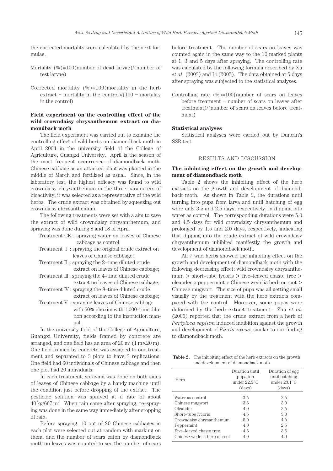the corrected mortality were calculated by the next formulae.

- Mortality (%)=100(number of dead larvae)/(number of test larvae)
- Corrected mortality  $(\%)=100$ (mortality in the herb extract – mortality in the control)/ $(100 -$  mortality in the control)

# **Field experiment on the controlling effect of the wild crowndaisy chrysanthemum extract on diamondback moth**

The field experiment was carried out to examine the controlling effect of wild herbs on diamondback moth in April 2004 in the university field of the College of Agriculture, Guangxi University. April is the season of the most frequent occurrence of diamondback moth. Chinese cabbage as an attacked plant was planted in the middle of March and fertilized as usual. Since, in the laboratory test, the highest efficacy was found to wild crowndaisy chrysanthemum in the three parameters of bioactivity, it was selected as a representative of the wild herbs. The crude extract was obtained by squeezing out crowndaisy chrysanthemum.

The following treatments were set with a aim to save the extract of wild crowndaisy chrysanthemum, and spraying was done during 8 and 18 of April.

- Treatment CK : spraying water on leaves of Chinese cabbage as control;
- Treatment I : spraying the original crude extract on leaves of Chinese cabbage;
- Treatment II : spraying the 2–time diluted crude extract on leaves of Chinese cabbage;
- Treatment  $\mathbb{I}$  : spraying the 4-time diluted crude extract on leaves of Chinese cabbage;
- Treatment IV : spraying the 8–time diluted crude extract on leaves of Chinese cabbage;
- Treatment V : spraying leaves of Chinese cabbage with 50% phoxim with 1,000–time dilution according to the instruction manual.

In the university field of the College of Agriculture, Guangxi University, fields framed by concrete are arranged, and one field has an area of  $20 \text{ m}^2 (1 \text{ m} \times 20 \text{ m})$ . One field framed by concrete was assigned to one treatment and separated to 3 plots to have 3 replications. One field had 60 individuals of Chinese cabbage and then one plot had 20 individuals.

In each treatment, spraying was done on both sides of leaves of Chinese cabbage by a handy machine until the condition just before dropping of the extract. The pesticide solution was sprayed at a rate of about 40 kg/667 m2 . When rain came after spraying, re–spraying was done in the same way immediately after stopping of rain.

Before spraying, 10 out of 20 Chinese cabbages in each plot were selected out at random with marking on them, and the number of scars eaten by diamondback moth on leaves was counted to see the number of scars

before treatment. The number of scars on leaves was counted again in the same way to the 10 marked plants at 1, 3 and 5 days after spraying. The controlling rate was calculated by the following formula described by Xu *et al*. (2003) and Li (2005). The data obtained at 5 days after spraying was subjected to the statistical analyses.

Controlling rate  $(\%)=100$ (number of scars on leaves before treatment – number of scars on leaves after treatment)/(number of scars on leaves before treatment)

## **Statistical analyses**

Statistical analyses were carried out by Duncan's SSR test.

## RESULTS AND DISCUSSION

## **The inhibiting effect on the growth and development of diamondback moth**

Table 2 shows the inhibiting effect of the herb extracts on the growth and development of diamondback moth. As shown in Table 2, the durations until turning into pupa from larva and until hatching of egg were only 3.5 and 2.5 days, respectively, in dipping into water as control. The corresponding durations were 5.0 and 4.5 days for wild crowndaisy chrysanthemum and prolonged by 1.5 and 2.0 days, respectively, indicating that dipping into the crude extract of wild crowndaisy chrysanthemum inhibited manifestly the growth and development of diamondback moth.

All 7 wild herbs showed the inhibiting effect on the growth and development of diamondback moth with the following decreasing effect: wild crowndaisy chrysanthemum > short–tube lycoris > five–leaved chaste tree > oleander > peppermint > Chinese wedelia herb or root > Chinese mugwort. The size of pupa was all getting small visually by the treatment with the herb extracts compared with the control. Moreover, some pupas were deformed by the herb–extract treatment. Zhu *et al*. (2006) reported that the crude extract from a herb of *Periploca sepium* induced inhibition against the growth and development of *Pieris rapae*, similar to our finding to diamondback moth.

Table 2. The inhibiting effect of the herb extracts on the growth and development of diamondback moth

| Herb                         | Duration until<br>pupation<br>under 22.3 °C<br>(days) | Duration of egg<br>until hatching<br>under $23.1\textdegree C$<br>(days) |
|------------------------------|-------------------------------------------------------|--------------------------------------------------------------------------|
| Water as control             | 3.5                                                   | 2.5                                                                      |
| Chinese mugwort              | 3.5                                                   | 3.0                                                                      |
| Oleander                     | 4.0                                                   | 3.5                                                                      |
| Short-tube lycoris           | 4.5                                                   | 3.0                                                                      |
| Crowndaisy chrysanthemum     | 5.0                                                   | 4.5                                                                      |
| Peppermint                   | 4.0                                                   | 2.5                                                                      |
| Five-leaved chaste tree      | 4.5                                                   | 3.5                                                                      |
| Chinese wedelia herb or root | 4.0                                                   | 4.0                                                                      |
|                              |                                                       |                                                                          |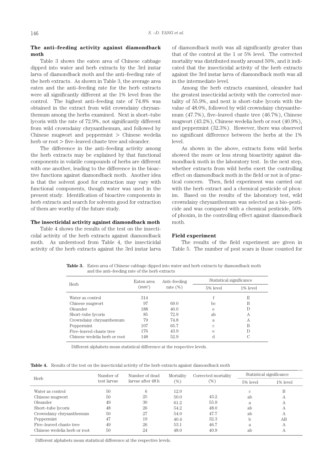# **The anti–feeding activity against diamondback moth**

Table 3 shows the eaten area of Chinese cabbage dipped into water and herb extracts by the 3rd instar larva of diamondback moth and the anti–feeding rate of the herb extracts. As shown in Table 3, the average area eaten and the anti–feeding rate for the herb extracts were all significantly different at the 1% level from the control. The highest anti–feeding rate of 74.8% was obtained in the extract from wild crowndaisy chrysanthemum among the herbs examined. Next is short–tube lycoris with the rate of 72.9%, not significantly different from wild crowndaisy chrysanthemum, and followed by Chinese mugwort and peppermint > Chinese wedelia herb or root > five–leaved chaste tree and oleander.

The difference in the anti–feeding activity among the herb extracts may be explained by that functional components in volatile compounds of herbs are different with one another, leading to the difference in the bioactive functions against diamondback moth. Another idea is that the solvent good for extraction may vary with functional components, though water was used in the present study. Identification of bioactive components in herb extracts and search for solvents good for extraction of them are worthy of the future study.

#### **The insecticidal activity against diamondback moth**

Table 4 shows the results of the test on the insecticidal activity of the herb extracts against diamondback moth. As understood from Table 4, the insecticidal activity of the herb extracts against the 3rd instar larva of diamondback moth was all significantly greater than that of the control at the 1 or 5% level. The corrected mortality was distributed mostly around 50%, and it indicated that the insecticidal activity of the herb extracts against the 3rd instar larva of diamondback moth was all in the intermediate level.

Among the herb extracts examined, oleander had the greatest insecticidal activity with the corrected mortality of 55.9%, and next is short–tube lycoris with the value of 48.0%, followed by wild crowndaisy chrysanthemum (47.7%), five–leaved chaste tree (46.7%), Chinese mugwort (43.2%), Chinese wedelia herb or root (40.9%), and peppermint (32.3%). However, there was observed no significant difference between the herbs at the 1% level.

As shown in the above, extracts form wild herbs showed the more or less strong bioactivity against diamondback moth in the laboratory test. In the next step, whether extracts from wild herbs exert the controlling effect on diamondback moth in the field or not is of practical concern. Then, field experiment was carried out with the herb extract and a chemical pesticide of phoxim. Based on the results of the laboratory test, wild crowndaisy chrysanthemum was selected as a bio–pesticide and was compared with a chemical pesticide, 50% of phoxim, in the controlling effect against diamondback moth.

## **Field experiment**

The results of the field experiment are given in Table 5. The number of pest scars is those counted for

**Table 3.** Eaten area of Chinese cabbage dipped into water and herb extracts by diamondback moth and the anti–feeding rate of the herb extracts

| Herb                         | Eaten area   | Anti-feeding | Statistical significance |          |
|------------------------------|--------------|--------------|--------------------------|----------|
|                              | $\rm (mm^2)$ | rate $(\%)$  | 5% level                 | 1% level |
| Water as control             | 314          |              | f                        | E        |
| Chinese mugwort              | 97           | 69.0         | bc.                      | В        |
| Oleander                     | 188          | 40.0         | e                        | D        |
| Short-tube lycoris           | 85           | 72.9         | ab                       | А        |
| Crowndaisy chrysanthemum     | 79           | 74.8         | a                        | А        |
| Peppermint                   | 107          | 65.7         | C                        | B        |
| Five-leaved chaste tree      | 176          | 43.9         | e                        | D        |
| Chinese wedelia herb or root | 148          | 52.9         | d                        | С        |

Different alphabets mean statistical difference at the respective levels.

**Table 4.** Results of the test on the insecticidal activity of the herb extracts against diamondback moth

| Herb                         | Number of   | Number of dead    | Mortality | Corrected mortality | Statistical significance |          |
|------------------------------|-------------|-------------------|-----------|---------------------|--------------------------|----------|
|                              | test larvae | larvae after 48 h | (% )      | (%)                 | 5% level                 | 1% level |
| Water as control             | 50          | 6                 | 12.0      |                     | C                        | В        |
| Chinese mugwort              | 50          | 25                | 50.0      | 43.2                | ab                       | А        |
| Oleander                     | 49          | 30                | 61.2      | 55.9                | a                        | А        |
| Short-tube lycoris           | 48          | 26                | 54.2      | 48.0                | ab                       | А        |
| Crowndaisy chrysanthemum     | 50          | 27                | 54.0      | 47.7                | ab                       | А        |
| Peppermint                   | 47          | 19                | 40.4      | 32.3                | h                        | AB       |
| Five-leaved chaste tree      | 49          | 26                | 53.1      | 46.7                | a                        | А        |
| Chinese wedelia herb or root | 50          | 24                | 48.0      | 40.9                | ab                       | А        |

Different alphabets mean statistical difference at the respective levels.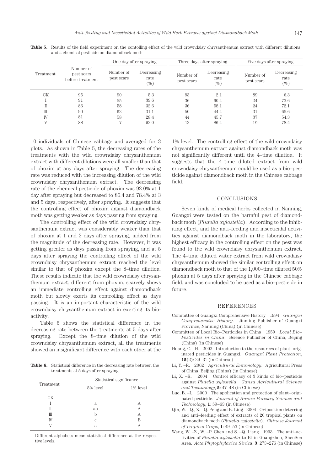|           |                                             |                         | One day after spraying<br>Three days after spraying |                         |                              | Five days after spraying |                              |
|-----------|---------------------------------------------|-------------------------|-----------------------------------------------------|-------------------------|------------------------------|--------------------------|------------------------------|
| Treatment | Number of<br>pest scars<br>before treatment | Number of<br>pest scars | Decreasing<br>rate<br>(%)                           | Number of<br>pest scars | Decreasing<br>rate<br>$(\%)$ | Number of<br>pest scars  | Decreasing<br>rate<br>$(\%)$ |
| СK        | 95                                          | 90                      | 5.3                                                 | 93                      | 2.1                          | 89                       | 6.3                          |
|           | 91                                          | 55                      | 39.6                                                | 36                      | 60.4                         | 24                       | 73.6                         |
| Π         | 86                                          | 58                      | 32.6                                                | 36                      | 58.1                         | 24                       | 72.1                         |
| Ш         | 90                                          | 62                      | 31.1                                                | 50                      | 44.4                         | 31                       | 65.6                         |
| IV        | 81                                          | 58                      | 28.4                                                | 44                      | 45.7                         | 37                       | 54.3                         |
| V         | 88                                          | 7                       | 92.0                                                | 12                      | 86.4                         | 19                       | 78.4                         |

Table 5. Results of the field experiment on the contolling effect of the wild crowndaisy chrysanthemum extract with different dilutions and a chemical pesticide on diamondback moth

10 individuals of Chinese cabbage and averaged for 3 plots. As shown in Table 5, the decreasing rates of the treatments with the wild crowndaisy chrysanthemum extract with different dilutions were all smaller than that of phoxim at any days after spraying. The decreasing rate was reduced with the increasing dilution of the wild crowndaisy chrysanthemum extract. The decreasing rate of the chemical pesticide of phoxim was 92.0% at 1 day after spraying but decreased to 86.4 and 78.4% at 3 and 5 days, respectively, after spraying. It suggests that the controlling effect of phoxim against diamondback moth was getting weaker as days passing from spraying.

The controlling effect of the wild crowndaisy chrysanthemum extract was considerably weaker than that of phoxim at 1 and 3 days after spraying, judged from the magnitude of the decreasing rate. However, it was getting greater as days passing from spraying, and at 5 days after spraying the controlling effect of the wild crowndaisy chrysanthemum extract reached the level similar to that of phoxim except the 8–time dilution. These results indicate that the wild crowndaisy chrysanthemum extract, different from phoxim, scarcely shows an immediate controlling effect against diamondback moth but slowly exerts its controlling effect as days passing. It is an important characteristic of the wild crowndaisy chrysanthemum extract in exerting its bioactivity.

Table 6 shows the statistical difference in the decreasing rate between the treatments at 5 days after spraying. Except the 8–time dilution of the wild crowndaisy chrysanthemum extract, all the treatments showed an insignificant difference with each other at the

**Table 6.** Statistical difference in the decreasing rate between the treatments at 5 days after spraying

|           | Statistical significance |          |  |
|-----------|--------------------------|----------|--|
| Treatment | 5% level                 | 1% level |  |
| СK        |                          |          |  |
|           | a                        | А        |  |
|           | ab                       | A        |  |
| Ш         | h                        | А        |  |
| IV        | C                        | В        |  |
|           | a                        | А        |  |

Different alphabets mean statistical difference at the respective levels.

1% level. The controlling effect of the wild crowndaisy chrysanthemum extract against diamondback moth was not significantly different until the 4–time dilution. It suggests that the 4–time diluted extract from wild crowndaisy chrysanthemum could be used as a bio–pesticide against diamondback moth in the Chinese cabbage field.

# CONCLUSIONS

Seven kinds of medical herbs collected in Nanning, Guangxi were tested on the harmful pest of diamondback moth (*Plutella xylostella*). According to the inhibiting effect, and the anti–feeding and insecticidal activities against diamondback moth in the laboratory, the highest efficacy in the controlling effect on the pest was found to the wild crowndaisy chrysanthemum extract. The 4–time diluted water extract from wild crowndaisy chrysanthemum showed the similar controlling effect on diamondback moth to that of the 1,000–time diluted 50% phoxim at 5 days after spraying in the Chinese cabbage field, and was concluded to be used as a bio–pesticide in future.

## REFERENCES

- Committee of Guangxi Comprehensive History 1994 *Guangxi Comprehensive History*. Jinming Publisher of Guangxi Province, Nanning (China) (in Chinese)
- Committee of Local Bio–Pesticides in China 1959 *Local Bio– Pesticides in China*. Science Publisher of China, Beijing (China) (in Chinese)
- Huang, C. –H. 2002 Introduction to the resources of plant–originated pesticides in Guangxi. *Guangxi Plant Protection*, **15**(2): 29–31 (in Chinese)
- Li, Y. –R. 2002 *Agricultural Entomology*. Agricultural Press of China, Beijing (China) (in Chinese)
- Li, X. –R. 2004 Control efficacy of 3 kinds of bio–pesticide against *Plutella xylostella*. *Gansu Agricultural Science and Technology*, **5**: 47–48 (in Chinese)
- Luo, B. –L. 2000 The application and protection of plant–originated pesticide. *Journal of Hunan Forestry Science and Technology*, **1**: 59–63 (in Chinese)
- Qin, W. –Q., Z. –Q. Peng and B. Ling 2004 Oviposition deterring and anti–feeding effect of extracts of 20 tropical plants on diamondback moth (*Plutella xylostella*). *Chinese Journal of Tropical Crops*, **1**: 49–53 (in Chinese)
- Wang, W. –Z., W. –P. Chen and S. –Q. Liang 1993 The anti–activities of *Plutella xylostella* to Bt in Guangzhou, ShenSen Area. *Acta Phytophylacica Sinic*a, **3**: 273–276 (in Chinese)